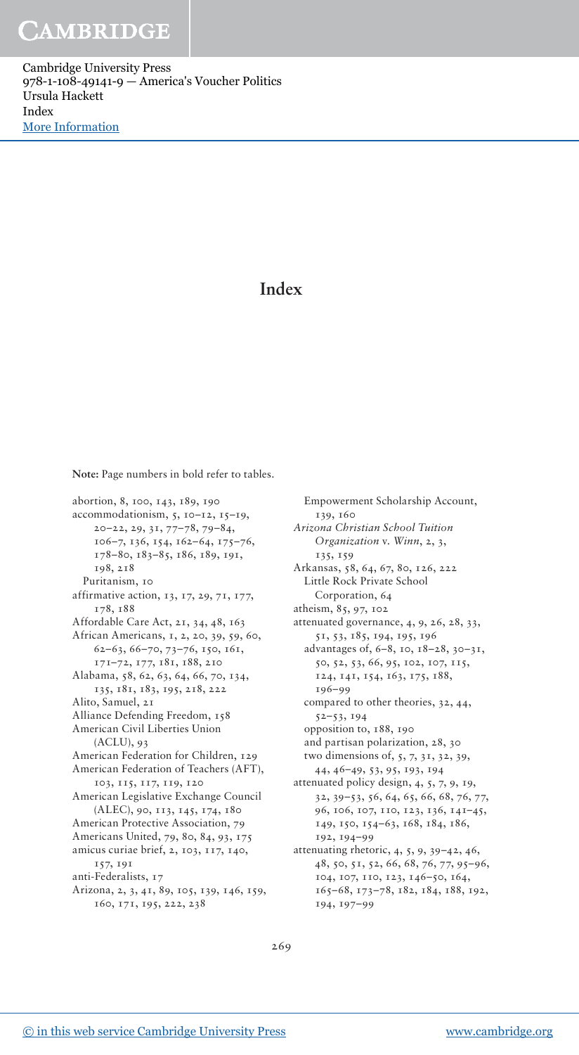Cambridge University Press 978-1-108-49141-9 — America's Voucher Politics Ursula Hackett Index [More Information](www.cambridge.org/9781108491419)

## **Index**

**Note:** Page numbers in bold refer to tables.

abortion, 8, 100, 143, 189, 190 accommodationism, 5, 10–12, 15–19, 20–22, 29, 31, 77–78, 79–84, 106–7, 136, 154, 162–64, 175–76, 178–80, 183–85, 186, 189, 191, 198, 218 Puritanism, 10 affirmative action, 13, 17, 29, 71, 177, 178, 188 Affordable Care Act, 21, 34, 48, 163 African Americans, 1, 2, 20, 39, 59, 60, 62–63, 66–70, 73–76, 150, 161, 171–72, 177, 181, 188, 210 Alabama, 58, 62, 63, 64, 66, 70, 134, 135, 181, 183, 195, 218, 222 Alito, Samuel, 21 Alliance Defending Freedom, 158 American Civil Liberties Union (ACLU), 93 American Federation for Children, 129 American Federation of Teachers (AFT), 103, 115, 117, 119, 120 American Legislative Exchange Council (ALEC), 90, 113, 145, 174, 180 American Protective Association, 79 Americans United, 79, 80, 84, 93, 175 amicus curiae brief, 2, 103, 117, 140, 157, 191 anti-Federalists, 17 Arizona, 2, 3, 41, 89, 105, 139, 146, 159, 160, 171, 195, 222, 238

Empowerment Scholarship Account, 139, 160 *Arizona Christian School Tuition Organization* v. *Winn*, 2, 3, 135, 159 Arkansas, 58, 64, 67, 80, 126, 222 Little Rock Private School Corporation, 64 atheism, 85, 97, 102 attenuated governance, 4, 9, 26, 28, 33, 51, 53, 185, 194, 195, 196 advantages of, 6–8, 10, 18–28, 30–31, 50, 52, 53, 66, 95, 102, 107, 115, 124, 141, 154, 163, 175, 188, 196–99 compared to other theories, 32, 44, 52–53, 194 opposition to, 188, 190 and partisan polarization, 28, 30 two dimensions of, 5, 7, 31, 32, 39, 44, 46–49, 53, 95, 193, 194 attenuated policy design, 4, 5, 7, 9, 19, 32, 39–53, 56, 64, 65, 66, 68, 76, 77, 96, 106, 107, 110, 123, 136, 141–45, 149, 150, 154–63, 168, 184, 186, 192, 194–99 attenuating rhetoric, 4, 5, 9, 39–42, 46, 48, 50, 51, 52, 66, 68, 76, 77, 95–96, 104, 107, 110, 123, 146–50, 164, 165–68, 173–78, 182, 184, 188, 192, 194, 197–99

269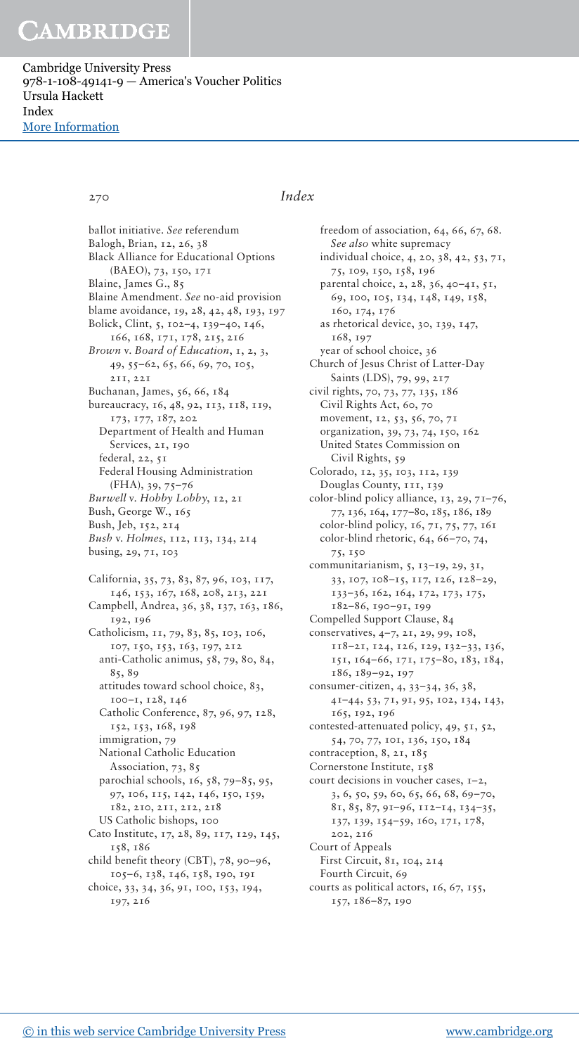Cambridge University Press 978-1-108-49141-9 — America's Voucher Politics Ursula Hackett Index [More Information](www.cambridge.org/9781108491419)

## 270 *Index*

ballot initiative. *See* referendum Balogh, Brian, 12, 26, 38 Black Alliance for Educational Options (BAEO), 73, 150, 171 Blaine, James G., 85 Blaine Amendment. *See* no-aid provision blame avoidance, 19, 28, 42, 48, 193, 197 Bolick, Clint, 5, 102–4, 139–40, 146, 166, 168, 171, 178, 215, 216 *Brown* v. *Board of Education*, 1, 2, 3, 49, 55–62, 65, 66, 69, 70, 105, 211, 221 Buchanan, James, 56, 66, 184 bureaucracy, 16, 48, 92, 113, 118, 119, 173, 177, 187, 202 Department of Health and Human Services, 21, 190 federal, 22, 51 Federal Housing Administration (FHA), 39, 75–76 *Burwell* v. *Hobby Lobby*, 12, 21 Bush, George W., 165 Bush, Jeb, 152, 214 *Bush* v. *Holmes*, 112, 113, 134, 214 busing, 29, 71, 103 California, 35, 73, 83, 87, 96, 103, 117, 146, 153, 167, 168, 208, 213, 221 Campbell, Andrea, 36, 38, 137, 163, 186, 192, 196 Catholicism, 11, 79, 83, 85, 103, 106, 107, 150, 153, 163, 197, 212 anti-Catholic animus, 58, 79, 80, 84, 85, 89 attitudes toward school choice, 83, 100–1, 128, 146 Catholic Conference, 87, 96, 97, 128, 152, 153, 168, 198 immigration, 79 National Catholic Education Association, 73, 85 parochial schools, 16, 58, 79–85, 95, 97, 106, 115, 142, 146, 150, 159, 182, 210, 211, 212, 218 US Catholic bishops, 100 Cato Institute, 17, 28, 89, 117, 129, 145, 158, 186 child benefit theory (CBT), 78, 90–96, 105–6, 138, 146, 158, 190, 191 choice, 33, 34, 36, 91, 100, 153, 194, 197, 216

freedom of association, 64, 66, 67, 68. *See also* white supremacy individual choice, 4, 20, 38, 42, 53, 71, 75, 109, 150, 158, 196 parental choice, 2, 28, 36, 40–41, 51, 69, 100, 105, 134, 148, 149, 158, 160, 174, 176 as rhetorical device, 30, 139, 147, 168, 197 year of school choice, 36 Church of Jesus Christ of Latter-Day Saints (LDS), 79, 99, 217 civil rights, 70, 73, 77, 135, 186 Civil Rights Act, 60, 70 movement, 12, 53, 56, 70, 71 organization, 39, 73, 74, 150, 162 United States Commission on Civil Rights, 59 Colorado, 12, 35, 103, 112, 139 Douglas County, 111, 139 color-blind policy alliance, 13, 29, 71–76, 77, 136, 164, 177–80, 185, 186, 189 color-blind policy, 16, 71, 75, 77, 161 color-blind rhetoric, 64, 66–70, 74, 75, 150 communitarianism, 5, 13–19, 29, 31, 33, 107, 108–15, 117, 126, 128–29, 133–36, 162, 164, 172, 173, 175, 182–86, 190–91, 199 Compelled Support Clause, 84 conservatives, 4–7, 21, 29, 99, 108, 118–21, 124, 126, 129, 132–33, 136, 151, 164–66, 171, 175–80, 183, 184, 186, 189–92, 197 consumer-citizen, 4, 33–34, 36, 38, 41–44, 53, 71, 91, 95, 102, 134, 143, 165, 192, 196 contested-attenuated policy, 49, 51, 52, 54, 70, 77, 101, 136, 150, 184 contraception, 8, 21, 185 Cornerstone Institute, 158 court decisions in voucher cases, 1–2, 3, 6, 50, 59, 60, 65, 66, 68, 69–70, 81, 85, 87, 91–96, 112–14, 134–35, 137, 139, 154–59, 160, 171, 178, 202, 216 Court of Appeals First Circuit, 81, 104, 214 Fourth Circuit, 69 courts as political actors, 16, 67, 155, 157, 186–87, 190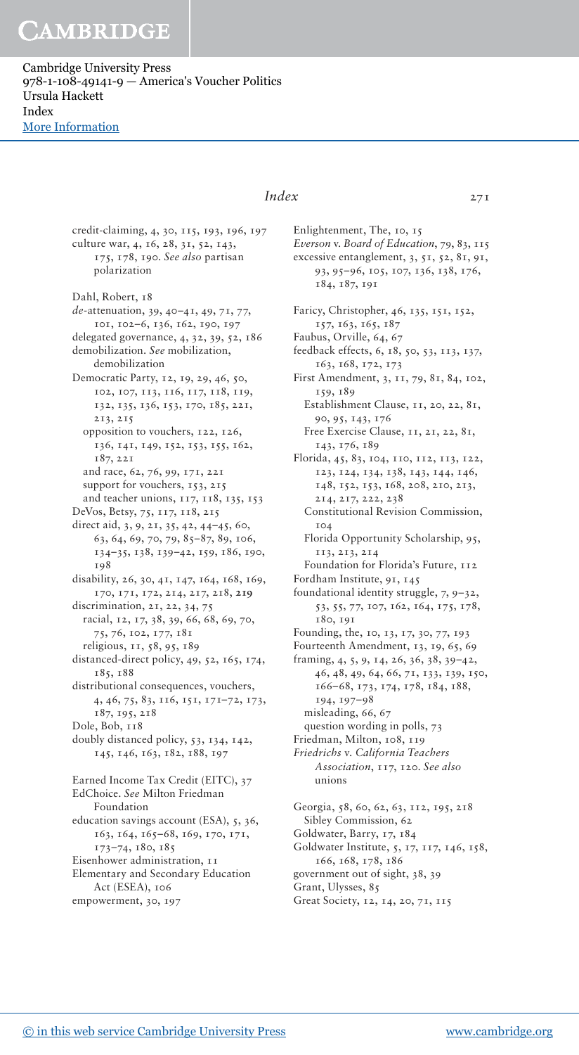Cambridge University Press 978-1-108-49141-9 — America's Voucher Politics Ursula Hackett Index [More Information](www.cambridge.org/9781108491419)

> credit-claiming, 4, 30, 115, 193, 196, 197 culture war, 4, 16, 28, 31, 52, 143,

> 175, 178, 190. *See also* partisan polarization Dahl, Robert, 18 *de*-attenuation, 39, 40–41, 49, 71, 77, 101, 102–6, 136, 162, 190, 197 delegated governance, 4, 32, 39, 52, 186 demobilization. *See* mobilization, demobilization Democratic Party, 12, 19, 29, 46, 50, 102, 107, 113, 116, 117, 118, 119, 132, 135, 136, 153, 170, 185, 221, 213, 215 opposition to vouchers, 122, 126, 136, 141, 149, 152, 153, 155, 162, 187, 221 and race, 62, 76, 99, 171, 221 support for vouchers, 153, 215 and teacher unions, 117, 118, 135, 153 DeVos, Betsy, 75, 117, 118, 215 direct aid, 3, 9, 21, 35, 42, 44–45, 60, 63, 64, 69, 70, 79, 85–87, 89, 106, 134–35, 138, 139–42, 159, 186, 190, 198 disability, 26, 30, 41, 147, 164, 168, 169, 170, 171, 172, 214, 217, 218, **219** discrimination, 21, 22, 34, 75 racial, 12, 17, 38, 39, 66, 68, 69, 70, 75, 76, 102, 177, 181 religious, 11, 58, 95, 189 distanced-direct policy, 49, 52, 165, 174, 185, 188 distributional consequences, vouchers, 4, 46, 75, 83, 116, 151, 171–72, 173, 187, 195, 218 Dole, Bob, 118 doubly distanced policy, 53, 134, 142, 145, 146, 163, 182, 188, 197 Earned Income Tax Credit (EITC), 37 EdChoice. *See* Milton Friedman Foundation education savings account (ESA), 5, 36, 163, 164, 165–68, 169, 170, 171, 173–74, 180, 185 Eisenhower administration, 11 Elementary and Secondary Education Act (ESEA), 106 empowerment, 30, 197

## *Index* 271

Enlightenment, The, 10, 15 *Everson* v. *Board of Education*, 79, 83, 115 excessive entanglement, 3, 51, 52, 81, 91, 93, 95–96, 105, 107, 136, 138, 176, 184, 187, 191 Faricy, Christopher, 46, 135, 151, 152, 157, 163, 165, 187 Faubus, Orville, 64, 67 feedback effects, 6, 18, 50, 53, 113, 137, 163, 168, 172, 173 First Amendment, 3, 11, 79, 81, 84, 102, 159, 189 Establishment Clause, 11, 20, 22, 81, 90, 95, 143, 176 Free Exercise Clause, 11, 21, 22, 81, 143, 176, 189 Florida, 45, 83, 104, 110, 112, 113, 122, 123, 124, 134, 138, 143, 144, 146, 148, 152, 153, 168, 208, 210, 213, 214, 217, 222, 238 Constitutional Revision Commission, 104 Florida Opportunity Scholarship, 95, 113, 213, 214 Foundation for Florida's Future, 112 Fordham Institute, 91, 145 foundational identity struggle, 7, 9–32, 53, 55, 77, 107, 162, 164, 175, 178, 180, 191 Founding, the, 10, 13, 17, 30, 77, 193 Fourteenth Amendment, 13, 19, 65, 69 framing, 4, 5, 9, 14, 26, 36, 38, 39–42, 46, 48, 49, 64, 66, 71, 133, 139, 150, 166–68, 173, 174, 178, 184, 188, 194, 197–98 misleading, 66, 67 question wording in polls, 73 Friedman, Milton, 108, 119 *Friedrichs* v. *California Teachers Association*, 117, 120. *See also* unions Georgia, 58, 60, 62, 63, 112, 195, 218 Sibley Commission, 62 Goldwater, Barry, 17, 184 Goldwater Institute, 5, 17, 117, 146, 158, 166, 168, 178, 186 government out of sight, 38, 39 Grant, Ulysses, 85

Great Society, 12, 14, 20, 71, 115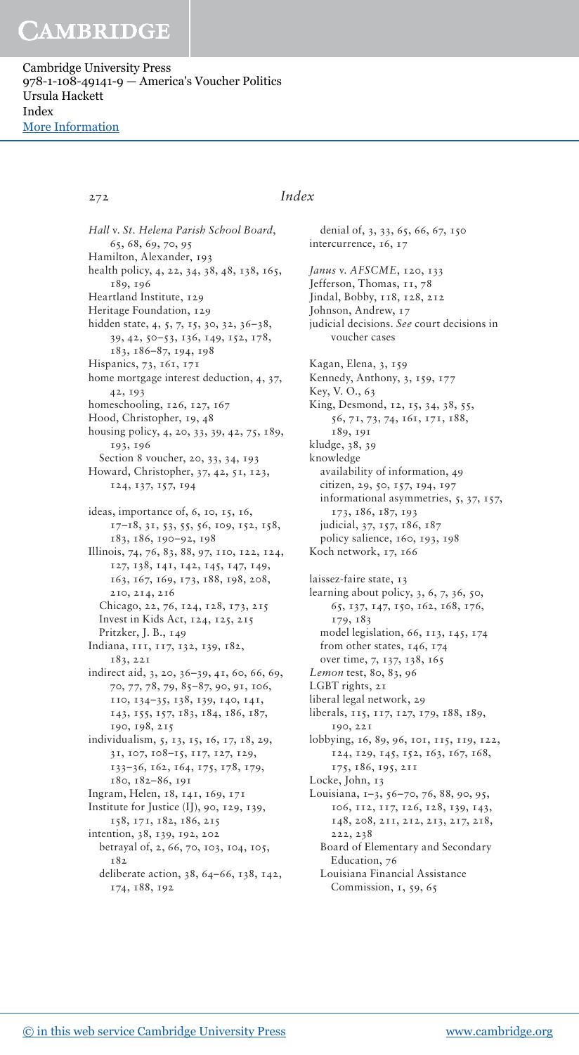Cambridge University Press 978-1-108-49141-9 — America's Voucher Politics Ursula Hackett Index [More Information](www.cambridge.org/9781108491419)

## 272 *Index*

*Hall* v. *St. Helena Parish School Board*, 65, 68, 69, 70, 95 Hamilton, Alexander, 193 health policy, 4, 22, 34, 38, 48, 138, 165, 189, 196 Heartland Institute, 129 Heritage Foundation, 129 hidden state, 4, 5, 7, 15, 30, 32, 36–38, 39, 42, 50–53, 136, 149, 152, 178, 183, 186–87, 194, 198 Hispanics, 73, 161, 171 home mortgage interest deduction, 4, 37, 42, 193 homeschooling, 126, 127, 167 Hood, Christopher, 19, 48 housing policy, 4, 20, 33, 39, 42, 75, 189, 193, 196 Section 8 voucher, 20, 33, 34, 193 Howard, Christopher, 37, 42, 51, 123, 124, 137, 157, 194 ideas, importance of, 6, 10, 15, 16, 17–18, 31, 53, 55, 56, 109, 152, 158, 183, 186, 190–92, 198 Illinois, 74, 76, 83, 88, 97, 110, 122, 124, 127, 138, 141, 142, 145, 147, 149, 163, 167, 169, 173, 188, 198, 208, 210, 214, 216 Chicago, 22, 76, 124, 128, 173, 215 Invest in Kids Act, 124, 125, 215 Pritzker, J. B., 149 Indiana, 111, 117, 132, 139, 182, 183, 221 indirect aid, 3, 20, 36–39, 41, 60, 66, 69, 70, 77, 78, 79, 85–87, 90, 91, 106, 110, 134–35, 138, 139, 140, 141, 143, 155, 157, 183, 184, 186, 187, 190, 198, 215 individualism, 5, 13, 15, 16, 17, 18, 29, 31, 107, 108–15, 117, 127, 129, 133–36, 162, 164, 175, 178, 179, 180, 182–86, 191 Ingram, Helen, 18, 141, 169, 171 Institute for Justice (IJ), 90, 129, 139, 158, 171, 182, 186, 215 intention, 38, 139, 192, 202 betrayal of, 2, 66, 70, 103, 104, 105, 182 deliberate action, 38, 64–66, 138, 142, 174, 188, 192

intercurrence, 16, 17 *Janus* v. *AFSCME*, 120, 133 Jefferson, Thomas, 11, 78 Jindal, Bobby, 118, 128, 212 Johnson, Andrew, 17 judicial decisions. *See* court decisions in voucher cases Kagan, Elena, 3, 159 Kennedy, Anthony, 3, 159, 177 Key, V. O., 63 King, Desmond, 12, 15, 34, 38, 55, 56, 71, 73, 74, 161, 171, 188, 189, 191 kludge, 38, 39 knowledge availability of information, 49 citizen, 29, 50, 157, 194, 197 informational asymmetries, 5, 37, 157, 173, 186, 187, 193 judicial, 37, 157, 186, 187 policy salience, 160, 193, 198 Koch network, 17, 166 laissez-faire state, 13 learning about policy, 3, 6, 7, 36, 50, 65, 137, 147, 150, 162, 168, 176, 179, 183 model legislation, 66, 113, 145, 174 from other states, 146, 174 over time, 7, 137, 138, 165 *Lemon* test, 80, 83, 96 LGBT rights, 21 liberal legal network, 29 liberals, 115, 117, 127, 179, 188, 189, 190, 221 lobbying, 16, 89, 96, 101, 115, 119, 122, 124, 129, 145, 152, 163, 167, 168, 175, 186, 195, 211 Locke, John, 13 Louisiana, 1–3, 56–70, 76, 88, 90, 95, 106, 112, 117, 126, 128, 139, 143, 148, 208, 211, 212, 213, 217, 218, 222, 238 Board of Elementary and Secondary Education, 76 Louisiana Financial Assistance Commission, 1, 59, 65

denial of, 3, 33, 65, 66, 67, 150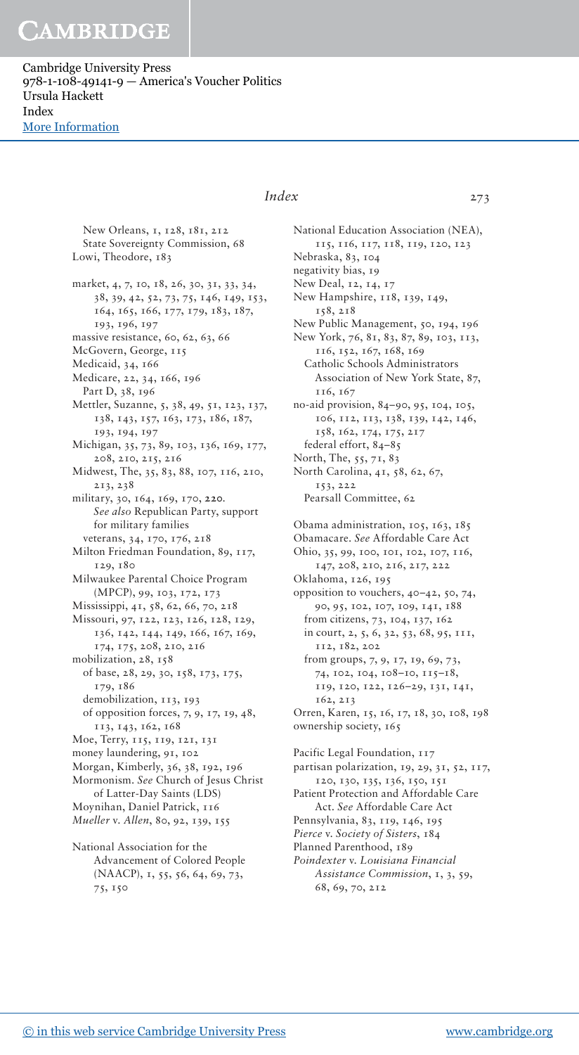Cambridge University Press 978-1-108-49141-9 — America's Voucher Politics Ursula Hackett Index [More Information](www.cambridge.org/9781108491419)

## New Orleans, 1, 128, 181, 212 State Sovereignty Commission, 68

Lowi, Theodore, 183 market, 4, 7, 10, 18, 26, 30, 31, 33, 34, 38, 39, 42, 52, 73, 75, 146, 149, 153, 164, 165, 166, 177, 179, 183, 187, 193, 196, 197 massive resistance, 60, 62, 63, 66 McGovern, George, 115 Medicaid, 34, 166 Medicare, 22, 34, 166, 196 Part D, 38, 196 Mettler, Suzanne, 5, 38, 49, 51, 123, 137, 138, 143, 157, 163, 173, 186, 187, 193, 194, 197 Michigan, 35, 73, 89, 103, 136, 169, 177, 208, 210, 215, 216 Midwest, The, 35, 83, 88, 107, 116, 210, 213, 238 military, 30, 164, 169, 170, **220**. *See also* Republican Party, support for military families veterans, 34, 170, 176, 218 Milton Friedman Foundation, 89, 117, 129, 180 Milwaukee Parental Choice Program (MPCP), 99, 103, 172, 173 Mississippi, 41, 58, 62, 66, 70, 218 Missouri, 97, 122, 123, 126, 128, 129, 136, 142, 144, 149, 166, 167, 169, 174, 175, 208, 210, 216 mobilization, 28, 158 of base, 28, 29, 30, 158, 173, 175, 179, 186 demobilization, 113, 193 of opposition forces, 7, 9, 17, 19, 48, 113, 143, 162, 168 Moe, Terry, 115, 119, 121, 131 money laundering, 91, 102 Morgan, Kimberly, 36, 38, 192, 196 Mormonism. *See* Church of Jesus Christ of Latter-Day Saints (LDS) Moynihan, Daniel Patrick, 116 *Mueller* v. *Allen*, 80, 92, 139, 155 National Association for the Advancement of Colored People (NAACP), 1, 55, 56, 64, 69, 73,

*Index* 273

National Education Association (NEA), 115, 116, 117, 118, 119, 120, 123 Nebraska, 83, 104 negativity bias, 19 New Deal, 12, 14, 17 New Hampshire, 118, 139, 149, 158, 218 New Public Management, 50, 194, 196 New York, 76, 81, 83, 87, 89, 103, 113, 116, 152, 167, 168, 169 Catholic Schools Administrators Association of New York State, 87, 116, 167 no-aid provision, 84–90, 95, 104, 105, 106, 112, 113, 138, 139, 142, 146, 158, 162, 174, 175, 217 federal effort, 84–85 North, The, 55, 71, 83 North Carolina, 41, 58, 62, 67, 153, 222 Pearsall Committee, 62 Obama administration, 105, 163, 185 Obamacare. *See* Affordable Care Act Ohio, 35, 99, 100, 101, 102, 107, 116, 147, 208, 210, 216, 217, 222 Oklahoma, 126, 195 opposition to vouchers, 40–42, 50, 74, 90, 95, 102, 107, 109, 141, 188 from citizens, 73, 104, 137, 162 in court, 2, 5, 6, 32, 53, 68, 95, 111, 112, 182, 202 from groups, 7, 9, 17, 19, 69, 73, 74, 102, 104, 108–10, 115–18, 119, 120, 122, 126–29, 131, 141, 162, 213 Orren, Karen, 15, 16, 17, 18, 30, 108, 198 ownership society, 165 Pacific Legal Foundation, 117 partisan polarization, 19, 29, 31, 52, 117, 120, 130, 135, 136, 150, 151

Patient Protection and Affordable Care Act. *See* Affordable Care Act Pennsylvania, 83, 119, 146, 195

*Pierce* v. *Society of Sisters*, 184

Planned Parenthood, 189

*Poindexter* v. *Louisiana Financial Assistance Commission*, 1, 3, 59, 68, 69, 70, 212

75, 150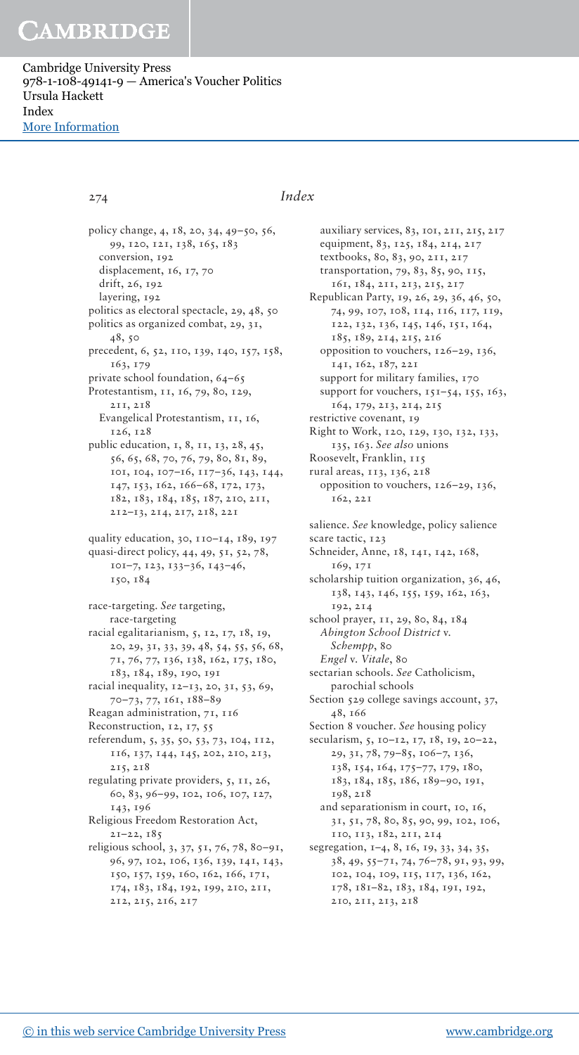Cambridge University Press 978-1-108-49141-9 — America's Voucher Politics Ursula Hackett Index [More Information](www.cambridge.org/9781108491419)

## 274 *Index*

policy change, 4, 18, 20, 34, 49–50, 56, 99, 120, 121, 138, 165, 183 conversion, 192 displacement, 16, 17, 70 drift, 26, 192 layering, 192 politics as electoral spectacle, 29, 48, 50 politics as organized combat, 29, 31, 48, 50 precedent, 6, 52, 110, 139, 140, 157, 158, 163, 179 private school foundation, 64–65 Protestantism, 11, 16, 79, 80, 129, 211, 218 Evangelical Protestantism, 11, 16, 126, 128 public education, 1, 8, 11, 13, 28, 45, 56, 65, 68, 70, 76, 79, 80, 81, 89, 101, 104, 107–16, 117–36, 143, 144, 147, 153, 162, 166–68, 172, 173, 182, 183, 184, 185, 187, 210, 211, 212–13, 214, 217, 218, 221 quality education, 30, 110–14, 189, 197 quasi-direct policy, 44, 49, 51, 52, 78, 101–7, 123, 133–36, 143–46, 150, 184 race-targeting. *See* targeting, race-targeting racial egalitarianism, 5, 12, 17, 18, 19, 20, 29, 31, 33, 39, 48, 54, 55, 56, 68, 71, 76, 77, 136, 138, 162, 175, 180, 183, 184, 189, 190, 191 racial inequality, 12–13, 20, 31, 53, 69, 70–73, 77, 161, 188–89 Reagan administration, 71, 116 Reconstruction, 12, 17, 55 referendum, 5, 35, 50, 53, 73, 104, 112, 116, 137, 144, 145, 202, 210, 213, 215, 218 regulating private providers, 5, 11, 26, 60, 83, 96–99, 102, 106, 107, 127, 143, 196 Religious Freedom Restoration Act, 21–22, 185 religious school, 3, 37, 51, 76, 78, 80–91, 96, 97, 102, 106, 136, 139, 141, 143, 150, 157, 159, 160, 162, 166, 171, 174, 183, 184, 192, 199, 210, 211, 212, 215, 216, 217

auxiliary services, 83, 101, 211, 215, 217 equipment, 83, 125, 184, 214, 217 textbooks, 80, 83, 90, 211, 217 transportation, 79, 83, 85, 90, 115, 161, 184, 211, 213, 215, 217 Republican Party, 19, 26, 29, 36, 46, 50, 74, 99, 107, 108, 114, 116, 117, 119, 122, 132, 136, 145, 146, 151, 164, 185, 189, 214, 215, 216 opposition to vouchers, 126–29, 136, 141, 162, 187, 221 support for military families, 170 support for vouchers, 151-54, 155, 163, 164, 179, 213, 214, 215 restrictive covenant, 19 Right to Work, 120, 129, 130, 132, 133, 135, 163. *See also* unions Roosevelt, Franklin, 115 rural areas, 113, 136, 218 opposition to vouchers, 126–29, 136, 162, 221 salience. *See* knowledge, policy salience scare tactic, 123 Schneider, Anne, 18, 141, 142, 168, 169, 171 scholarship tuition organization, 36, 46, 138, 143, 146, 155, 159, 162, 163, 192, 214 school prayer, 11, 29, 80, 84, 184 *Abington School District* v. *Schempp*, 80 *Engel* v. *Vitale*, 80 sectarian schools. *See* Catholicism, parochial schools Section 529 college savings account, 37, 48, 166 Section 8 voucher. *See* housing policy secularism, 5, 10–12, 17, 18, 19, 20–22, 29, 31, 78, 79–85, 106–7, 136, 138, 154, 164, 175–77, 179, 180, 183, 184, 185, 186, 189–90, 191, 198, 218 and separationism in court, 10, 16, 31, 51, 78, 80, 85, 90, 99, 102, 106, 110, 113, 182, 211, 214 segregation, 1–4, 8, 16, 19, 33, 34, 35, 38, 49, 55–71, 74, 76–78, 91, 93, 99, 102, 104, 109, 115, 117, 136, 162, 178, 181–82, 183, 184, 191, 192, 210, 211, 213, 218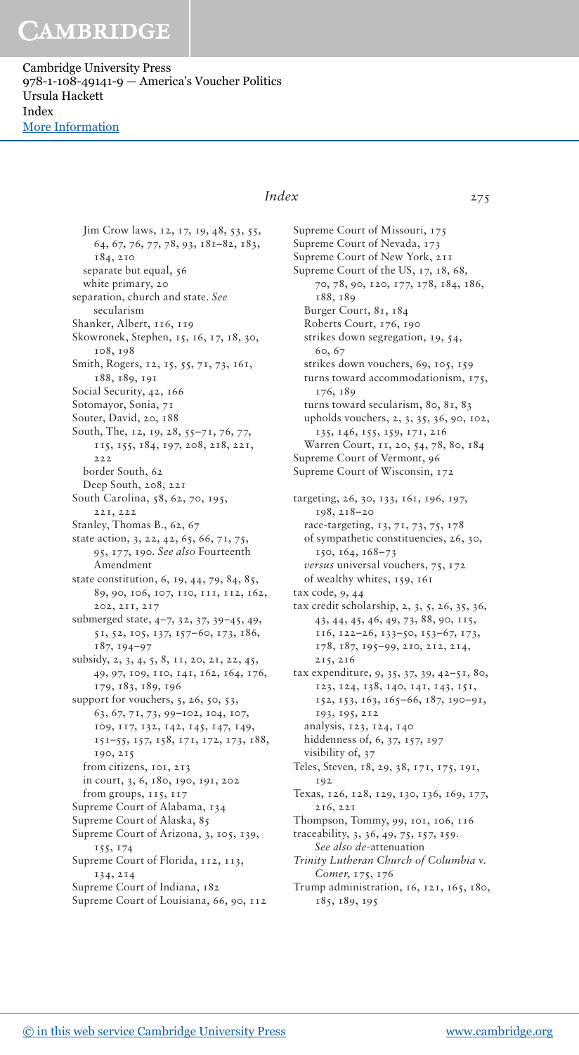Cambridge University Press 978-1-108-49141-9 — America's Voucher Politics Ursula Hackett Index [More Information](www.cambridge.org/9781108491419)

## *Index* 275

Jim Crow laws, 12, 17, 19, 48, 53, 55, 64, 67, 76, 77, 78, 93, 181–82, 183, 184, 210 separate but equal, 56 white primary, 20 separation, church and state. *See* secularism Shanker, Albert, 116, 119 Skowronek, Stephen, 15, 16, 17, 18, 30, 108, 198 Smith, Rogers, 12, 15, 55, 71, 73, 161, 188, 189, 191 Social Security, 42, 166 Sotomayor, Sonia, 71 Souter, David, 20, 188 South, The, 12, 19, 28, 55–71, 76, 77, 115, 155, 184, 197, 208, 218, 221,  $222$ border South, 62 Deep South, 208, 221 South Carolina, 58, 62, 70, 195, 221, 222 Stanley, Thomas B., 62, 67 state action, 3, 22, 42, 65, 66, 71, 75, 95, 177, 190. *See also* Fourteenth Amendment state constitution, 6, 19, 44, 79, 84, 85, 89, 90, 106, 107, 110, 111, 112, 162, 202, 211, 217 submerged state, 4–7, 32, 37, 39–45, 49, 51, 52, 105, 137, 157–60, 173, 186, 187, 194–97 subsidy, 2, 3, 4, 5, 8, 11, 20, 21, 22, 45, 49, 97, 109, 110, 141, 162, 164, 176, 179, 183, 189, 196 support for vouchers, 5, 26, 50, 53, 63, 67, 71, 73, 99–102, 104, 107, 109, 117, 132, 142, 145, 147, 149, 151–55, 157, 158, 171, 172, 173, 188, 190, 215 from citizens, 101, 213 in court, 3, 6, 180, 190, 191, 202 from groups, 115, 117 Supreme Court of Alabama, 134 Supreme Court of Alaska, 85 Supreme Court of Arizona, 3, 105, 139, 155, 174 Supreme Court of Florida,  $112$ ,  $113$ , 134, 214 Supreme Court of Indiana, 182 Supreme Court of Louisiana, 66, 90, 112

Supreme Court of Missouri, 175 Supreme Court of Nevada, 173 Supreme Court of New York, 211 Supreme Court of the US, 17, 18, 68, 70, 78, 90, 120, 177, 178, 184, 186, 188, 189 Burger Court, 81, 184 Roberts Court, 176, 190 strikes down segregation, 19, 54, 60, 67 strikes down vouchers, 69, 105, 159 turns toward accommodationism, 175, 176, 189 turns toward secularism, 80, 81, 83 upholds vouchers, 2, 3, 35, 36, 90, 102, 135, 146, 155, 159, 171, 216 Warren Court, 11, 20, 54, 78, 80, 184 Supreme Court of Vermont, 96 Supreme Court of Wisconsin, 172 targeting, 26, 30, 133, 161, 196, 197, 198, 218–20 race-targeting, 13, 71, 73, 75, 178 of sympathetic constituencies, 26, 30, 150, 164, 168–73 *versus* universal vouchers, 75, 172 of wealthy whites, 159, 161 tax code, 9, 44 tax credit scholarship, 2, 3, 5, 26, 35, 36, 43, 44, 45, 46, 49, 73, 88, 90, 115, 116, 122–26, 133–50, 153–67, 173, 178, 187, 195–99, 210, 212, 214, 215, 216 tax expenditure, 9, 35, 37, 39, 42–51, 80, 123, 124, 138, 140, 141, 143, 151, 152, 153, 163, 165–66, 187, 190–91, 193, 195, 212 analysis, 123, 124, 140 hiddenness of, 6, 37, 157, 197 visibility of, 37 Teles, Steven, 18, 29, 38, 171, 175, 191, 192 Texas, 126, 128, 129, 130, 136, 169, 177, 216, 221 Thompson, Tommy, 99, 101, 106, 116 traceability, 3, 36, 49, 75, 157, 159. *See also de*-attenuation *Trinity Lutheran Church of Columbia* v. *Comer*, 175, 176 Trump administration, 16, 121, 165, 180,

185, 189, 195